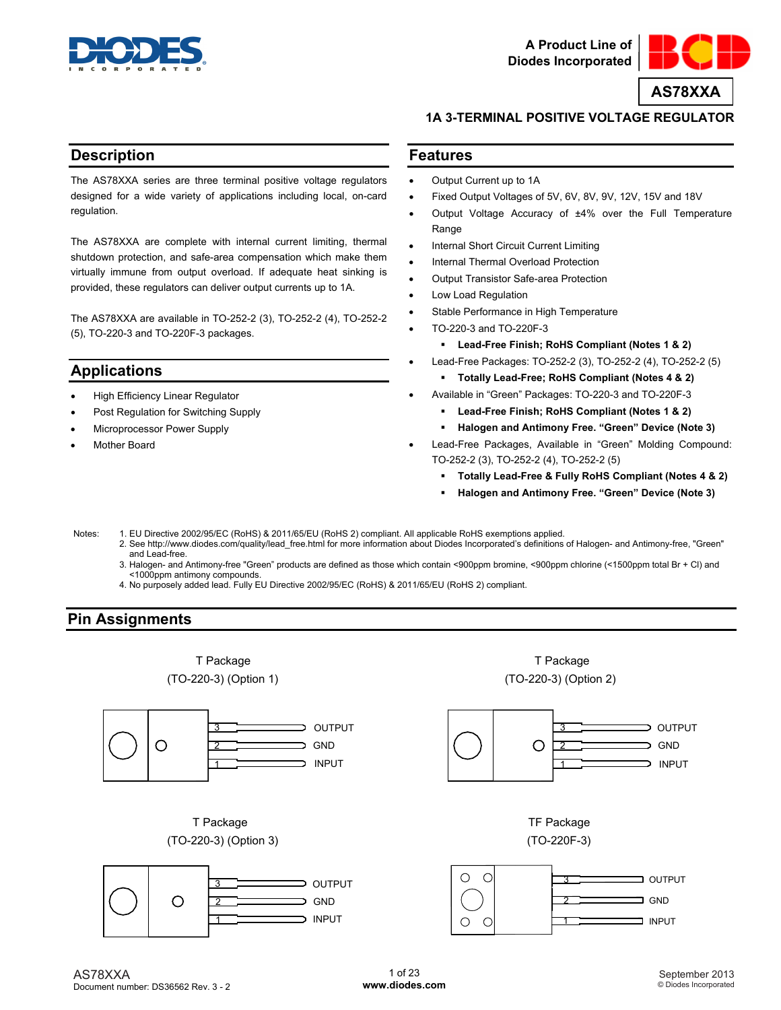



## **1A 3-TERMINAL POSITIVE VOLTAGE REGULATOR**

## **Description**

The AS78XXA series are three terminal positive voltage regulators designed for a wide variety of applications including local, on-card regulation.

The AS78XXA are complete with internal current limiting, thermal shutdown protection, and safe-area compensation which make them virtually immune from output overload. If adequate heat sinking is provided, these regulators can deliver output currents up to 1A.

The AS78XXA are available in TO-252-2 (3), TO-252-2 (4), TO-252-2 (5), TO-220-3 and TO-220F-3 packages.

## **Applications**

- High Efficiency Linear Regulator
- Post Regulation for Switching Supply
- Microprocessor Power Supply
- Mother Board

## **Features**

- Output Current up to 1A
- Fixed Output Voltages of 5V, 6V, 8V, 9V, 12V, 15V and 18V
- Output Voltage Accuracy of ±4% over the Full Temperature Range
- Internal Short Circuit Current Limiting
- Internal Thermal Overload Protection
- Output Transistor Safe-area Protection
- Low Load Regulation
- Stable Performance in High Temperature
- TO-220-3 and TO-220F-3
	- **Lead-Free Finish; RoHS Compliant (Notes 1 & 2)**
- Lead-Free Packages: TO-252-2 (3), TO-252-2 (4), TO-252-2 (5) **Totally Lead-Free; RoHS Compliant (Notes 4 & 2)** 
	- Available in "Green" Packages: TO-220-3 and TO-220F-3
	- **Lead-Free Finish; RoHS Compliant (Notes 1 & 2)** 
		- **Halogen and Antimony Free. "Green" Device (Note 3)**
- Lead-Free Packages, Available in "Green" Molding Compound: TO-252-2 (3), TO-252-2 (4), TO-252-2 (5)
	- **Totally Lead-Free & Fully RoHS Compliant (Notes 4 & 2)**
	- **Halogen and Antimony Free. "Green" Device (Note 3)**
- Notes: 1. EU Directive 2002/95/EC (RoHS) & 2011/65/EU (RoHS 2) compliant. All applicable RoHS exemptions applied.
	- 2. See [http://www.diodes.com/quality/lead\\_free.html fo](http://www.diodes.com/quality/lead_free.html)r more information about Diodes Incorporated's definitions of Halogen- and Antimony-free, "Green" and Lead-free.
	- 3. Halogen- and Antimony-free "Green" products are defined as those which contain <900ppm bromine, <900ppm chlorine (<1500ppm total Br + Cl) and <1000ppm antimony compounds.
	- 4. No purposely added lead. Fully EU Directive 2002/95/EC (RoHS) & 2011/65/EU (RoHS 2) compliant.

## **Pin Assignments**

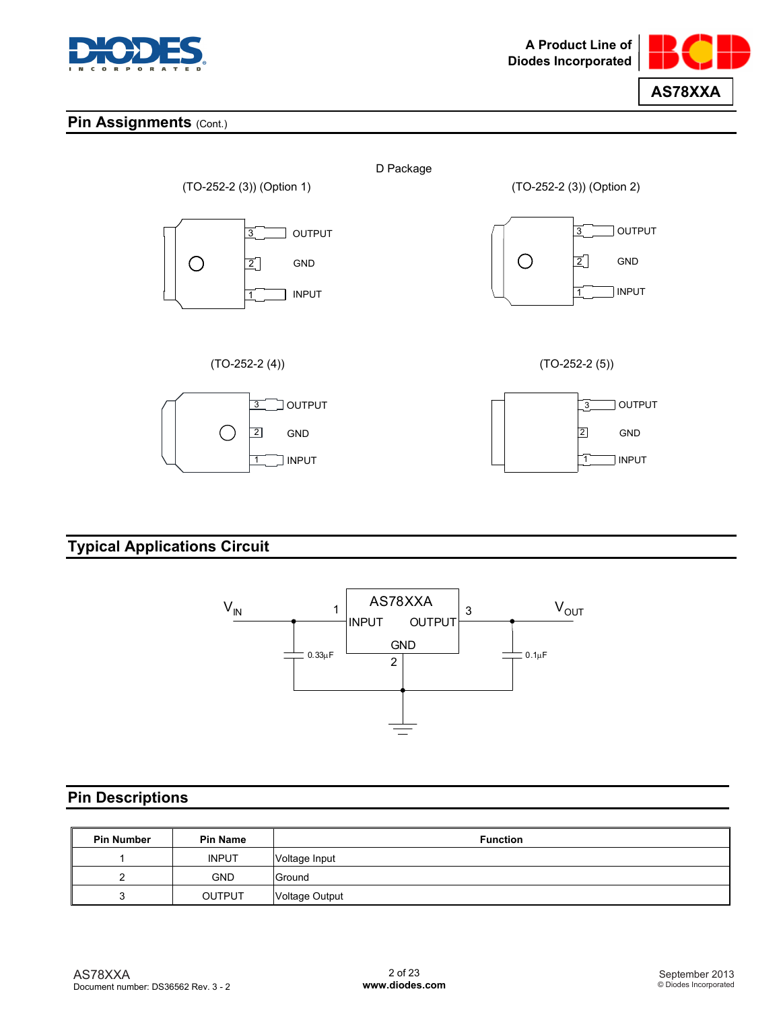



## **Pin Assignments (Cont.)**



# **Typical Applications Circuit**



## **Pin Descriptions**

| <b>Pin Number</b> | <b>Pin Name</b> | <b>Function</b> |
|-------------------|-----------------|-----------------|
|                   | <b>INPUT</b>    | Voltage Input   |
|                   | <b>GND</b>      | Ground          |
|                   | <b>OUTPUT</b>   | Voltage Output  |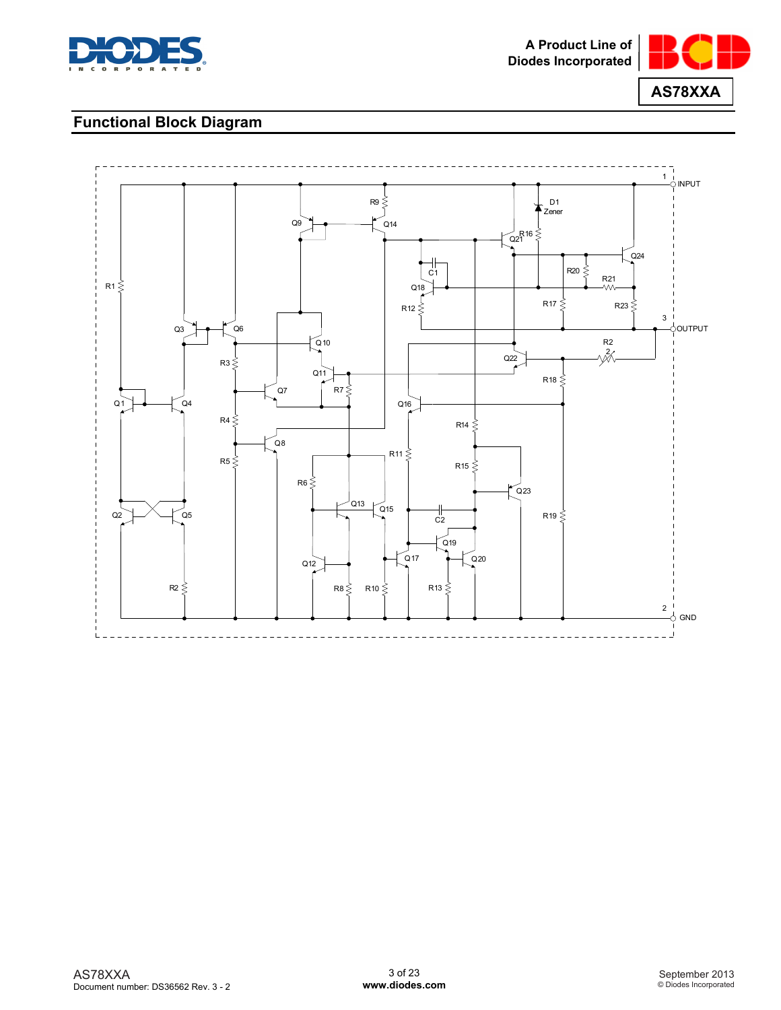



## **Functional Block Diagram**

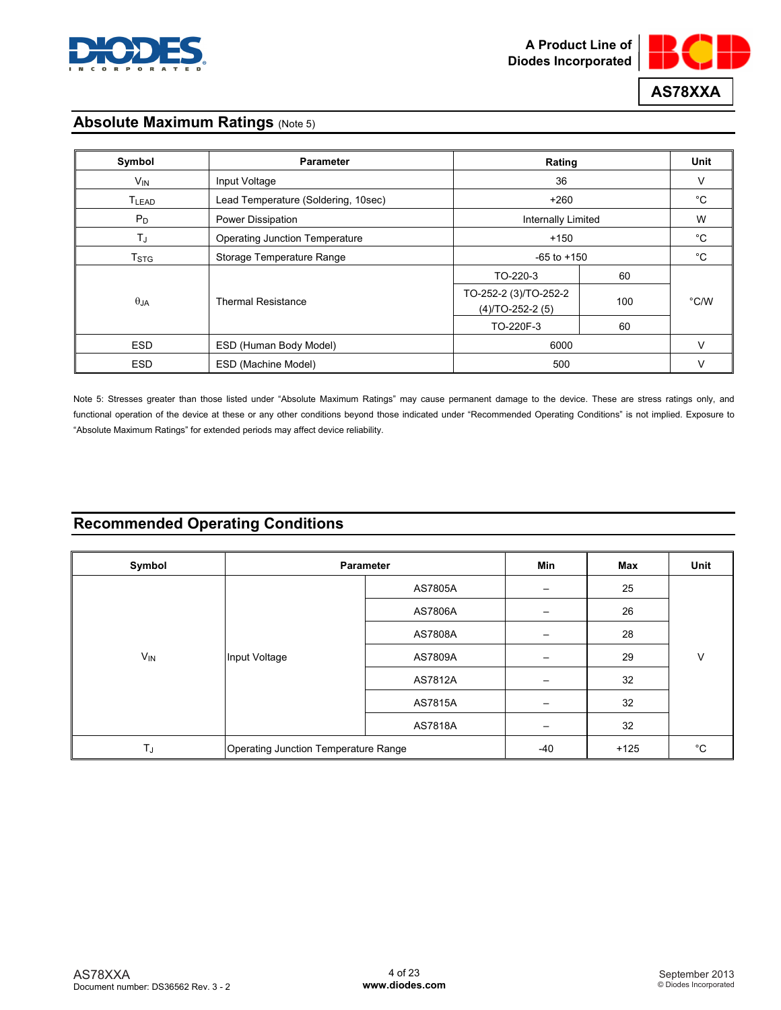



## **Absolute Maximum Ratings (Note 5)**

| Symbol            | <b>Parameter</b>                      | Rating                                         |                 |      |
|-------------------|---------------------------------------|------------------------------------------------|-----------------|------|
| $V_{IN}$          | Input Voltage                         | 36                                             |                 | V    |
| T <sub>LEAD</sub> | Lead Temperature (Soldering, 10sec)   | $+260$                                         |                 |      |
| $P_D$             | Power Dissipation                     | <b>Internally Limited</b>                      |                 | W    |
| $T_{\rm J}$       | <b>Operating Junction Temperature</b> | $+150$                                         |                 |      |
| T <sub>STG</sub>  | Storage Temperature Range             |                                                | $-65$ to $+150$ |      |
|                   |                                       | TO-220-3                                       | 60              |      |
| $\theta$ JA       | <b>Thermal Resistance</b>             | TO-252-2 (3)/TO-252-2<br>$(4)$ /TO-252-2 $(5)$ | 100             | °C/W |
|                   |                                       | TO-220F-3                                      | 60              |      |
| <b>ESD</b>        | ESD (Human Body Model)                | 6000                                           |                 |      |
| <b>ESD</b>        | ESD (Machine Model)                   | 500                                            |                 | v    |

Note 5: Stresses greater than those listed under "Absolute Maximum Ratings" may cause permanent damage to the device. These are stress ratings only, and functional operation of the device at these or any other conditions beyond those indicated under "Recommended Operating Conditions" is not implied. Exposure to "Absolute Maximum Ratings" for extended periods may affect device reliability.

# **Recommended Operating Conditions**

| Symbol                | <b>Parameter</b>                     |         | Min                      | Max    | Unit |  |
|-----------------------|--------------------------------------|---------|--------------------------|--------|------|--|
|                       |                                      | AS7805A | $\overline{\phantom{m}}$ | 25     |      |  |
|                       |                                      | AS7806A | —                        | 26     |      |  |
|                       | Input Voltage                        |         | AS7808A                  |        | 28   |  |
| <b>V<sub>IN</sub></b> |                                      | AS7809A |                          | 29     | V    |  |
|                       |                                      | AS7812A |                          | 32     |      |  |
|                       |                                      | AS7815A |                          | 32     |      |  |
|                       |                                      | AS7818A |                          | 32     |      |  |
| TJ                    | Operating Junction Temperature Range |         | $-40$                    | $+125$ | °C   |  |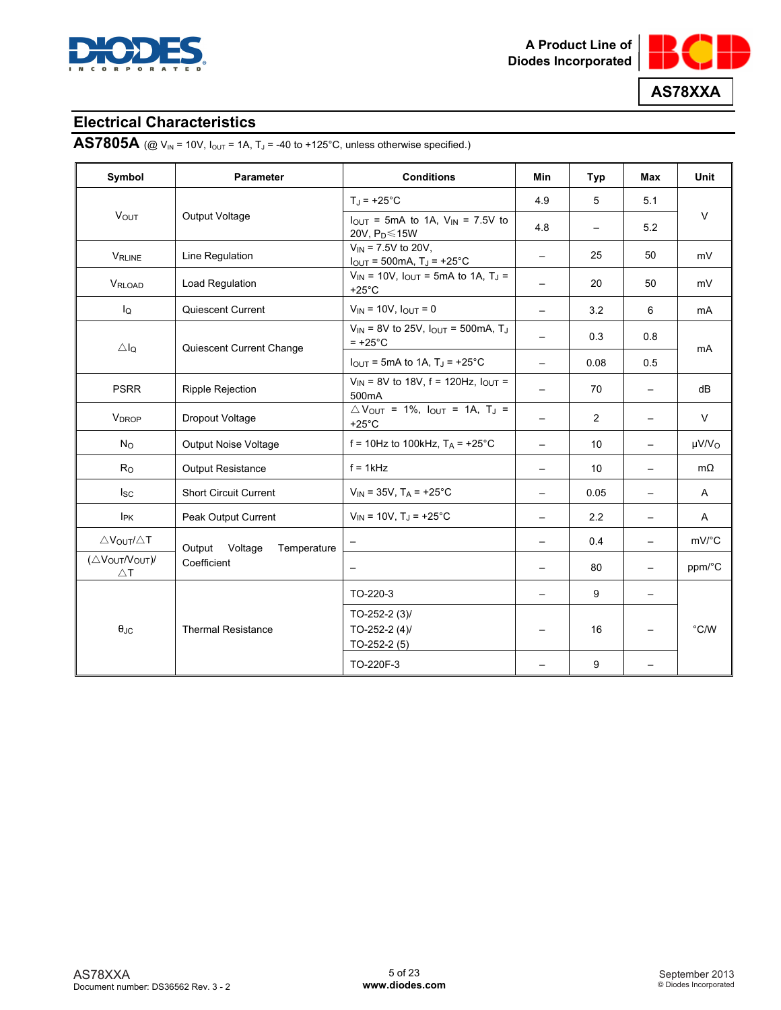



## **Electrical Characteristics**

**AS7805A** (@  $V_{IN}$  = 10V,  $I_{OUT}$  = 1A,  $T_J$  = -40 to +125°C, unless otherwise specified.)

| Symbol                                 | <b>Parameter</b>                 | <b>Conditions</b>                                                                           | Min                      | Typ                      | Max                      | Unit                   |  |
|----------------------------------------|----------------------------------|---------------------------------------------------------------------------------------------|--------------------------|--------------------------|--------------------------|------------------------|--|
|                                        |                                  | $T_J = +25^{\circ}C$                                                                        | 4.9                      | 5                        | 5.1                      |                        |  |
| VOUT                                   | Output Voltage                   | $I_{\text{OUT}}$ = 5mA to 1A, $V_{\text{IN}}$ = 7.5V to<br>20V, $P_D \le 15W$               | 4.8                      | $\overline{\phantom{0}}$ | 5.2                      | $\vee$                 |  |
| <b>VRLINE</b>                          | Line Regulation                  | $V_{IN}$ = 7.5V to 20V,<br>$I_{OUT} = 500mA, T_J = +25°C$                                   |                          | 25                       | 50                       | mV                     |  |
| VRLOAD                                 | <b>Load Regulation</b>           | $V_{IN}$ = 10V, $I_{OUT}$ = 5mA to 1A, T <sub>J</sub> =<br>$+25^{\circ}$ C                  | $\overline{\phantom{0}}$ | 20                       | 50                       | mV                     |  |
| lQ                                     | Quiescent Current                | $V_{IN}$ = 10V, $I_{OUT}$ = 0                                                               | $\qquad \qquad -$        | 3.2                      | 6                        | mA                     |  |
| ΔI <sub>Q</sub>                        | Quiescent Current Change         | $V_{IN}$ = 8V to 25V, $I_{OUT}$ = 500mA, T <sub>J</sub><br>$= +25^{\circ}$ C                |                          | 0.3                      | 0.8                      | mA                     |  |
|                                        |                                  | $I_{\text{OUT}}$ = 5mA to 1A, T <sub>J</sub> = +25 <sup>°</sup> C                           | $\overline{\phantom{0}}$ | 0.08                     | 0.5                      |                        |  |
| <b>PSRR</b>                            | <b>Ripple Rejection</b>          | $V_{IN}$ = 8V to 18V, f = 120Hz, $I_{OUT}$ =<br>500mA                                       | $\overline{\phantom{0}}$ | 70                       |                          | dB                     |  |
| <b>V<sub>DROP</sub></b>                | Dropout Voltage                  | $\triangle V_{\text{OUT}}$ = 1%, $I_{\text{OUT}}$ = 1A, T <sub>J</sub> =<br>$+25^{\circ}$ C |                          | 2                        |                          | $\vee$                 |  |
| $N_{\rm O}$                            | <b>Output Noise Voltage</b>      | f = 10Hz to 100kHz, $T_A$ = +25°C                                                           |                          | 10                       |                          | $\mu$ V/V <sub>O</sub> |  |
| $R_{\rm O}$                            | <b>Output Resistance</b>         | $f = 1$ kHz                                                                                 |                          | 10                       |                          | $m\Omega$              |  |
| $I_{SC}$                               | <b>Short Circuit Current</b>     | $V_{IN}$ = 35V, T <sub>A</sub> = +25°C                                                      | $\overline{\phantom{0}}$ | 0.05                     | $\overline{\phantom{0}}$ | A                      |  |
| <b>I</b> <sub>PK</sub>                 | Peak Output Current              | $V_{IN}$ = 10V, T <sub>J</sub> = +25°C                                                      |                          | 2.2                      | $\overline{\phantom{0}}$ | A                      |  |
| $\triangle V_{\text{OUT}}/\triangle T$ | Output<br>Voltage<br>Temperature |                                                                                             |                          | 0.4                      |                          | mV/°C                  |  |
| (ΔVOUT/VOUT)/<br>$\triangle$ T         | Coefficient                      |                                                                                             |                          | 80                       | $\overline{\phantom{0}}$ | ppm/°C                 |  |
|                                        |                                  | TO-220-3                                                                                    |                          | 9                        | $\qquad \qquad -$        |                        |  |
| $\theta_{\text{JC}}$                   | <b>Thermal Resistance</b>        | TO-252-2 $(3)$<br>TO-252-2 $(4)$<br>$TO-252-2(5)$                                           |                          | 16                       |                          | $^{\circ}$ C/W         |  |
|                                        |                                  | TO-220F-3                                                                                   |                          | 9                        |                          |                        |  |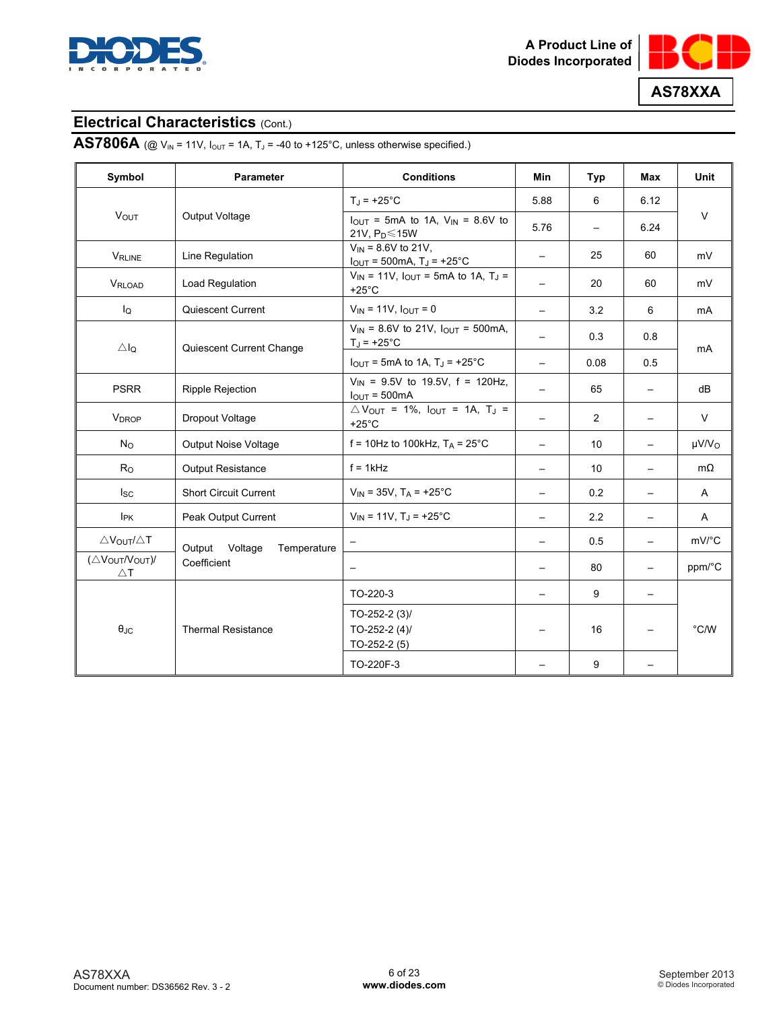



# **AS7806A** (@  $V_{IN}$  = 11V,  $I_{OUT}$  = 1A,  $T_J$  = -40 to +125°C, unless otherwise specified.)

| Symbol                          | <b>Parameter</b>              | <b>Conditions</b>                                                                           | Min                      | Typ                      | <b>Max</b>               | Unit                   |
|---------------------------------|-------------------------------|---------------------------------------------------------------------------------------------|--------------------------|--------------------------|--------------------------|------------------------|
|                                 |                               | $T_J = +25$ °C                                                                              | 5.88                     | 6                        | 6.12                     |                        |
| <b>VOUT</b>                     | Output Voltage                | $I_{OUT}$ = 5mA to 1A, $V_{IN}$ = 8.6V to<br>21V, $P_D \le 15W$                             | 5.76                     | $\overline{\phantom{m}}$ | 6.24                     | $\vee$                 |
| <b>VRLINE</b>                   | Line Regulation               | $V_{IN}$ = 8.6V to 21V,<br>$I_{\text{OUT}}$ = 500mA, T <sub>J</sub> = +25°C                 |                          | 25                       | 60                       | mV                     |
| VRLOAD                          | Load Regulation               | $V_{IN}$ = 11V, $I_{OUT}$ = 5mA to 1A, T <sub>J</sub> =<br>$+25^{\circ}$ C                  | $\overline{\phantom{0}}$ | 20                       | 60                       | mV                     |
| lQ                              | Quiescent Current             | $V_{IN} = 11V, I_{OUT} = 0$                                                                 | $\overline{\phantom{0}}$ | 3.2                      | 6                        | mA                     |
| $\triangle I_Q$                 | Quiescent Current Change      | $V_{IN}$ = 8.6V to 21V, $I_{OUT}$ = 500mA,<br>$T_J = +25^{\circ}C$                          |                          | 0.3                      | 0.8                      | mA                     |
|                                 |                               | $I_{\text{OUT}}$ = 5mA to 1A, T <sub>J</sub> = +25°C                                        |                          | 0.08                     | 0.5                      |                        |
| <b>PSRR</b>                     | <b>Ripple Rejection</b>       | $V_{IN}$ = 9.5V to 19.5V, f = 120Hz,<br>$IOUT = 500mA$                                      | $\overline{\phantom{0}}$ | 65                       |                          | dB                     |
| <b>V</b> <sub>DROP</sub>        | Dropout Voltage               | $\triangle V_{\text{OUT}}$ = 1%, $I_{\text{OUT}}$ = 1A, T <sub>J</sub> =<br>$+25^{\circ}$ C |                          | 2                        |                          | $\vee$                 |
| $N_{\rm O}$                     | <b>Output Noise Voltage</b>   | f = 10Hz to 100kHz, $T_A$ = 25°C                                                            |                          | 10                       |                          | $\mu$ V/V <sub>O</sub> |
| R <sub>O</sub>                  | <b>Output Resistance</b>      | $f = 1$ kHz                                                                                 | $\overline{\phantom{0}}$ | 10                       | $\overline{\phantom{0}}$ | $m\Omega$              |
| $I_{SC}$                        | <b>Short Circuit Current</b>  | $V_{IN}$ = 35V, T <sub>A</sub> = +25°C                                                      |                          | 0.2                      |                          | A                      |
| I <sub>PK</sub>                 | Peak Output Current           | $V_{IN}$ = 11V, T <sub>J</sub> = +25°C                                                      |                          | 2.2                      |                          | $\mathsf{A}$           |
| $\triangle V_{OUT}/\triangle T$ | Output Voltage<br>Temperature |                                                                                             | $\equiv$                 | 0.5                      | $\overline{\phantom{0}}$ | mV/°C                  |
| (ΔVOUTNOUT)<br>$\triangle$ T    | Coefficient                   | $\overline{\phantom{m}}$                                                                    |                          | 80                       | $\overline{\phantom{0}}$ | ppm/°C                 |
|                                 |                               | TO-220-3                                                                                    |                          | 9                        | $\overline{\phantom{0}}$ |                        |
| $\theta_{\text{JC}}$            | <b>Thermal Resistance</b>     | TO-252-2 $(3)$<br>TO-252-2 $(4)$<br>$TO-252-2(5)$                                           |                          | 16                       |                          | $^{\circ}$ C/W         |
|                                 |                               | TO-220F-3                                                                                   |                          | 9                        |                          |                        |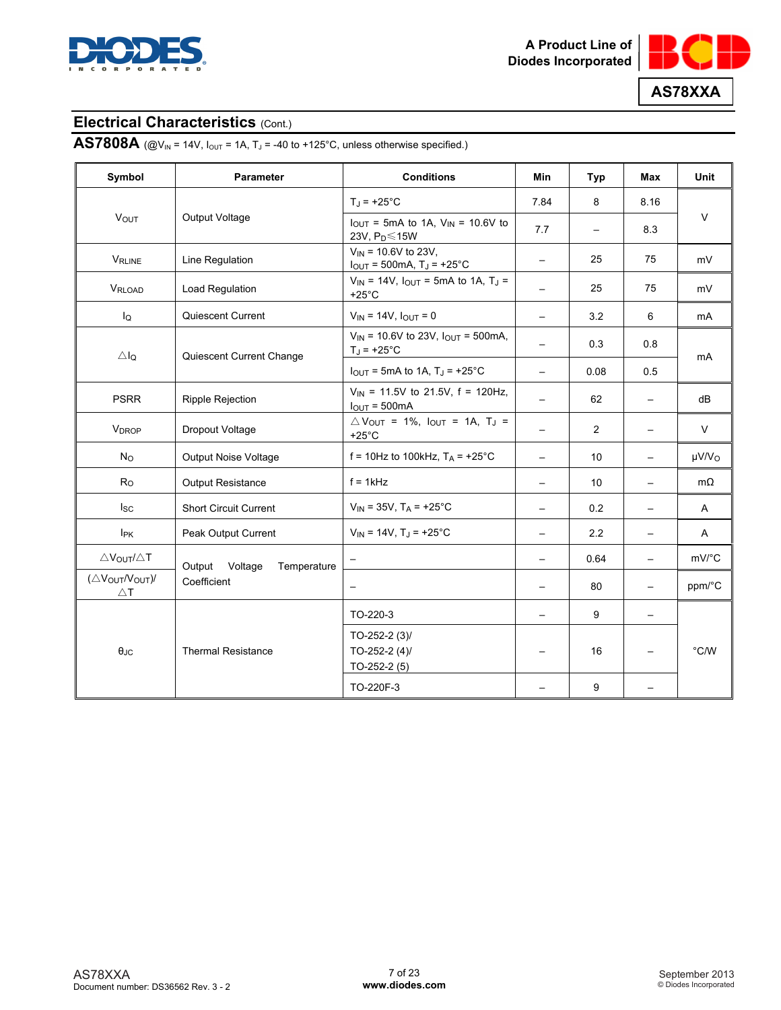



# **AS7808A** (@V<sub>IN</sub> = 14V,  $I_{\text{OUT}}$  = 1A,  $T_J$  = -40 to +125°C, unless otherwise specified.)

| Symbol                          | <b>Parameter</b>                 | <b>Conditions</b>                                                                           | <b>Min</b>               | Typ            | Max                      | <b>Unit</b>            |
|---------------------------------|----------------------------------|---------------------------------------------------------------------------------------------|--------------------------|----------------|--------------------------|------------------------|
|                                 |                                  | $T_{\rm J}$ = +25°C                                                                         | 7.84                     | 8              | 8.16                     |                        |
| <b>VOUT</b>                     | Output Voltage                   | $I_{\text{OUT}}$ = 5mA to 1A, $V_{\text{IN}}$ = 10.6V to<br>23V, P <sub>D</sub> ≤15W        | 7.7                      |                | 8.3                      | $\vee$                 |
| <b>VRLINE</b>                   | Line Regulation                  | $V_{IN}$ = 10.6V to 23V,<br>$I_{OUT} = 500mA$ , $T_J = +25°C$                               | $\qquad \qquad -$        | 25             | 75                       | mV                     |
| VRLOAD                          | Load Regulation                  | $V_{IN}$ = 14V, $I_{OUT}$ = 5mA to 1A, T <sub>J</sub> =<br>$+25^{\circ}$ C                  | $\overline{\phantom{0}}$ | 25             | 75                       | mV                     |
| lQ                              | Quiescent Current                | $V_{IN} = 14V$ , $I_{OUT} = 0$                                                              |                          | 3.2            | 6                        | mA                     |
| $\triangle$ lo                  | Quiescent Current Change         | $V_{IN}$ = 10.6V to 23V, $I_{OUT}$ = 500mA,<br>$T_J = +25^{\circ}C$                         |                          | 0.3            | 0.8                      | mA                     |
|                                 |                                  | $I_{\text{OUT}}$ = 5mA to 1A, T <sub>J</sub> = +25°C                                        |                          | 0.08           | 0.5                      |                        |
| <b>PSRR</b>                     | <b>Ripple Rejection</b>          | $V_{IN}$ = 11.5V to 21.5V, f = 120Hz,<br>$I_{\text{OUT}} = 500 \text{mA}$                   |                          | 62             | $\overline{\phantom{m}}$ | dB                     |
| <b>V<sub>DROP</sub></b>         | Dropout Voltage                  | $\triangle V_{\text{OUT}}$ = 1%, $I_{\text{OUT}}$ = 1A, T <sub>J</sub> =<br>$+25^{\circ}$ C |                          | $\overline{2}$ |                          | $\vee$                 |
| $N_{\rm O}$                     | <b>Output Noise Voltage</b>      | f = 10Hz to 100kHz, $T_A$ = +25°C                                                           |                          | 10             | $\qquad \qquad -$        | $\mu$ V/V <sub>O</sub> |
| R <sub>O</sub>                  | <b>Output Resistance</b>         | $f = 1$ kHz                                                                                 |                          | 10             |                          | $m\Omega$              |
| lsc.                            | <b>Short Circuit Current</b>     | $V_{IN}$ = 35V, T <sub>A</sub> = +25°C                                                      | $\overline{\phantom{0}}$ | 0.2            | $\overline{\phantom{0}}$ | A                      |
| IPK                             | Peak Output Current              | $V_{IN}$ = 14V, T <sub>J</sub> = +25°C                                                      |                          | 2.2            | $\overline{\phantom{0}}$ | A                      |
| $\triangle V_{OUT}/\triangle T$ | Output<br>Voltage<br>Temperature |                                                                                             | $\overline{\phantom{0}}$ | 0.64           | $\overline{\phantom{0}}$ | mV/°C                  |
| (ΔVOUT/VOUT)/<br>$\triangle$ T  | Coefficient                      | $\overline{\phantom{0}}$                                                                    |                          | 80             | $\qquad \qquad -$        | ppm/°C                 |
|                                 |                                  | TO-220-3                                                                                    |                          | 9              |                          |                        |
| $\theta$ JC                     | <b>Thermal Resistance</b>        | TO-252-2 $(3)$<br>TO-252-2 $(4)$<br>$TO-252-2(5)$                                           |                          | 16             |                          | $\degree$ C/W          |
|                                 |                                  | TO-220F-3                                                                                   |                          | 9              |                          |                        |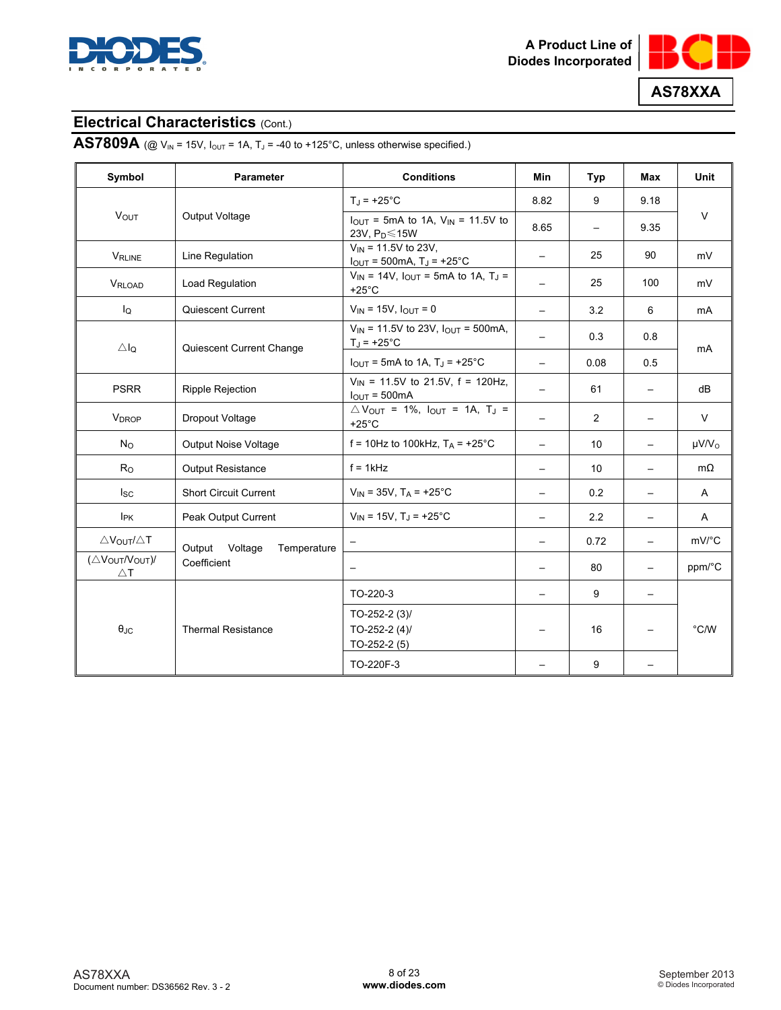



# **AS7809A** (@  $V_{IN}$  = 15V,  $I_{OUT}$  = 1A,  $T_J$  = -40 to +125°C, unless otherwise specified.)

| Symbol                          | <b>Parameter</b>                 | <b>Conditions</b>                                                                           | Min                      | Typ                      | <b>Max</b>               | Unit                   |
|---------------------------------|----------------------------------|---------------------------------------------------------------------------------------------|--------------------------|--------------------------|--------------------------|------------------------|
|                                 |                                  | $T_J = +25$ °C                                                                              | 8.82                     | 9                        | 9.18                     |                        |
| <b>VOUT</b>                     | Output Voltage                   | $I_{OUT}$ = 5mA to 1A, $V_{IN}$ = 11.5V to<br>23V, $P_D \le 15W$                            | 8.65                     | $\overline{\phantom{m}}$ | 9.35                     | $\vee$                 |
| <b>VRLINE</b>                   | Line Regulation                  | $V_{IN}$ = 11.5V to 23V,<br>$I_{OUT} = 500mA, T_J = +25°C$                                  |                          | 25                       | 90                       | mV                     |
| VRLOAD                          | Load Regulation                  | $V_{IN}$ = 14V, $I_{OUT}$ = 5mA to 1A, T <sub>J</sub> =<br>$+25^{\circ}$ C                  |                          | 25                       | 100                      | mV                     |
| lQ                              | Quiescent Current                | $V_{IN}$ = 15V, $I_{OUT}$ = 0                                                               | $\overline{\phantom{0}}$ | 3.2                      | 6                        | mA                     |
| $\triangle I_Q$                 | Quiescent Current Change         | $V_{IN}$ = 11.5V to 23V, $I_{OUT}$ = 500mA,<br>$T_J = +25^{\circ}C$                         |                          | 0.3                      | 0.8                      | mA                     |
|                                 |                                  | $I_{\text{OUT}}$ = 5mA to 1A, T <sub>J</sub> = +25°C                                        |                          | 0.08                     | 0.5                      |                        |
| <b>PSRR</b>                     | <b>Ripple Rejection</b>          | $V_{IN}$ = 11.5V to 21.5V, f = 120Hz,<br>$IOUT = 500mA$                                     | $\overline{\phantom{0}}$ | 61                       |                          | dB                     |
| <b>V</b> <sub>DROP</sub>        | Dropout Voltage                  | $\triangle V_{\text{OUT}}$ = 1%, $I_{\text{OUT}}$ = 1A, T <sub>J</sub> =<br>$+25^{\circ}$ C |                          | 2                        |                          | $\vee$                 |
| $N_{\rm O}$                     | <b>Output Noise Voltage</b>      | f = 10Hz to 100kHz, $T_A$ = +25°C                                                           |                          | 10                       | $\overline{\phantom{0}}$ | $\mu$ V/V <sub>o</sub> |
| R <sub>O</sub>                  | <b>Output Resistance</b>         | $f = 1$ kHz                                                                                 | $\overline{\phantom{0}}$ | 10                       | $\overline{\phantom{0}}$ | $m\Omega$              |
| $I_{SC}$                        | <b>Short Circuit Current</b>     | $V_{IN}$ = 35V, T <sub>A</sub> = +25°C                                                      |                          | 0.2                      | $\overline{\phantom{0}}$ | A                      |
| I <sub>PK</sub>                 | Peak Output Current              | $V_{IN}$ = 15V, T <sub>J</sub> = +25°C                                                      |                          | 2.2                      |                          | $\mathsf{A}$           |
| $\triangle V_{OUT}/\triangle T$ | Output<br>Voltage<br>Temperature |                                                                                             |                          | 0.72                     | $\overline{\phantom{0}}$ | mV/°C                  |
| (ΔVOUTNOUT)<br>$\triangle$ T    | Coefficient                      | $\overline{\phantom{m}}$                                                                    |                          | 80                       | $\overline{\phantom{0}}$ | ppm/°C                 |
|                                 |                                  | TO-220-3                                                                                    |                          | 9                        | $\overline{\phantom{0}}$ |                        |
| $\theta_{\text{JC}}$            | <b>Thermal Resistance</b>        | TO-252-2 $(3)$<br>TO-252-2 $(4)$<br>$TO-252-2(5)$                                           |                          | 16                       |                          | $^{\circ}$ C/W         |
|                                 |                                  | TO-220F-3                                                                                   |                          | 9                        |                          |                        |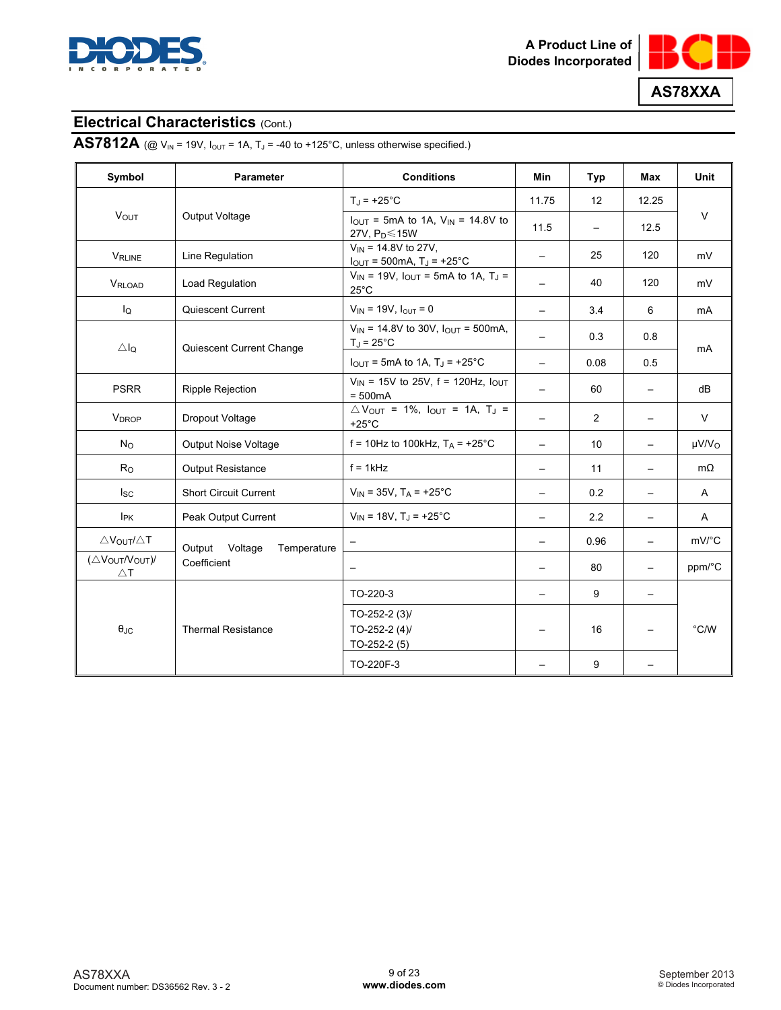



**AS7812A** (@  $V_{IN}$  = 19V,  $I_{OUT}$  = 1A,  $T_J$  = -40 to +125°C, unless otherwise specified.)

| Symbol                          | <b>Parameter</b>                 | <b>Conditions</b>                                                                           | Min                      | Typ                      | Max                      | Unit                   |  |
|---------------------------------|----------------------------------|---------------------------------------------------------------------------------------------|--------------------------|--------------------------|--------------------------|------------------------|--|
|                                 |                                  | $T_J = +25$ °C                                                                              | 11.75                    | 12                       | 12.25                    |                        |  |
| VOUT                            | Output Voltage                   | $I_{\text{OUT}}$ = 5mA to 1A, $V_{\text{IN}}$ = 14.8V to<br>27V, $P_D \le 15W$              | 11.5                     | $\overline{\phantom{0}}$ | 12.5                     | $\vee$                 |  |
| <b>VRLINE</b>                   | Line Regulation                  | $V_{IN}$ = 14.8V to 27V,<br>$I_{OUT}$ = 500mA, $T_J$ = +25°C                                | $\qquad \qquad -$        | 25                       | 120                      | mV                     |  |
| VRLOAD                          | <b>Load Regulation</b>           | $V_{IN}$ = 19V, $I_{OUT}$ = 5mA to 1A, T <sub>J</sub> =<br>$25^{\circ}$ C                   | $\overline{\phantom{0}}$ | 40                       | 120                      | mV                     |  |
| $I_{\mathsf{Q}}$                | Quiescent Current                | $V_{IN}$ = 19V, $I_{OUT}$ = 0                                                               | $\overline{\phantom{0}}$ | 3.4                      | 6                        | mA                     |  |
| ΔI <sub>Q</sub>                 | Quiescent Current Change         | $V_{IN}$ = 14.8V to 30V, $I_{OUT}$ = 500mA,<br>$T_J = 25^{\circ}C$                          | $\overline{\phantom{0}}$ | 0.3                      | 0.8                      | mA                     |  |
|                                 |                                  | $I_{\text{OUT}}$ = 5mA to 1A, T <sub>J</sub> = +25°C                                        | $\overline{\phantom{0}}$ | 0.08                     | 0.5                      |                        |  |
| <b>PSRR</b>                     | <b>Ripple Rejection</b>          | $V_{IN}$ = 15V to 25V, f = 120Hz, $I_{OUT}$<br>$= 500mA$                                    | $\overline{\phantom{0}}$ | 60                       | $\qquad \qquad -$        | dB                     |  |
| <b>V<sub>DROP</sub></b>         | Dropout Voltage                  | $\triangle V_{\text{OUT}}$ = 1%, $I_{\text{OUT}}$ = 1A, T <sub>J</sub> =<br>$+25^{\circ}$ C | $\overline{\phantom{0}}$ | 2                        |                          | $\vee$                 |  |
| $N_{\rm O}$                     | Output Noise Voltage             | f = 10Hz to 100kHz, $T_A$ = +25°C                                                           | $\overline{\phantom{0}}$ | 10                       | $\overline{\phantom{0}}$ | $\mu$ V/V <sub>O</sub> |  |
| R <sub>O</sub>                  | <b>Output Resistance</b>         | $f = 1kHz$                                                                                  |                          | 11                       | $\overline{\phantom{0}}$ | $m\Omega$              |  |
| $I_{SC}$                        | <b>Short Circuit Current</b>     | $V_{IN}$ = 35V, T <sub>A</sub> = +25°C                                                      |                          | 0.2                      | $\overline{\phantom{0}}$ | A                      |  |
| <b>I</b> <sub>PK</sub>          | Peak Output Current              | $V_{IN}$ = 18V, T <sub>J</sub> = +25°C                                                      |                          | 2.2                      |                          | A                      |  |
| $\triangle V_{OUT}/\triangle T$ | Output<br>Voltage<br>Temperature |                                                                                             |                          | 0.96                     | $\overline{\phantom{0}}$ | mV/°C                  |  |
| (ΔVOUT/VOUT)/<br>$\triangle$ T  | Coefficient                      |                                                                                             |                          | 80                       |                          | ppm/°C                 |  |
|                                 |                                  | TO-220-3                                                                                    |                          | 9                        | $\qquad \qquad -$        |                        |  |
| $\theta_{\text{JC}}$            | <b>Thermal Resistance</b>        | TO-252-2 $(3)$<br>TO-252-2 $(4)$<br>$TO-252-2(5)$                                           |                          | 16                       |                          | $^{\circ}$ C/W         |  |
|                                 |                                  | TO-220F-3                                                                                   |                          | 9                        |                          |                        |  |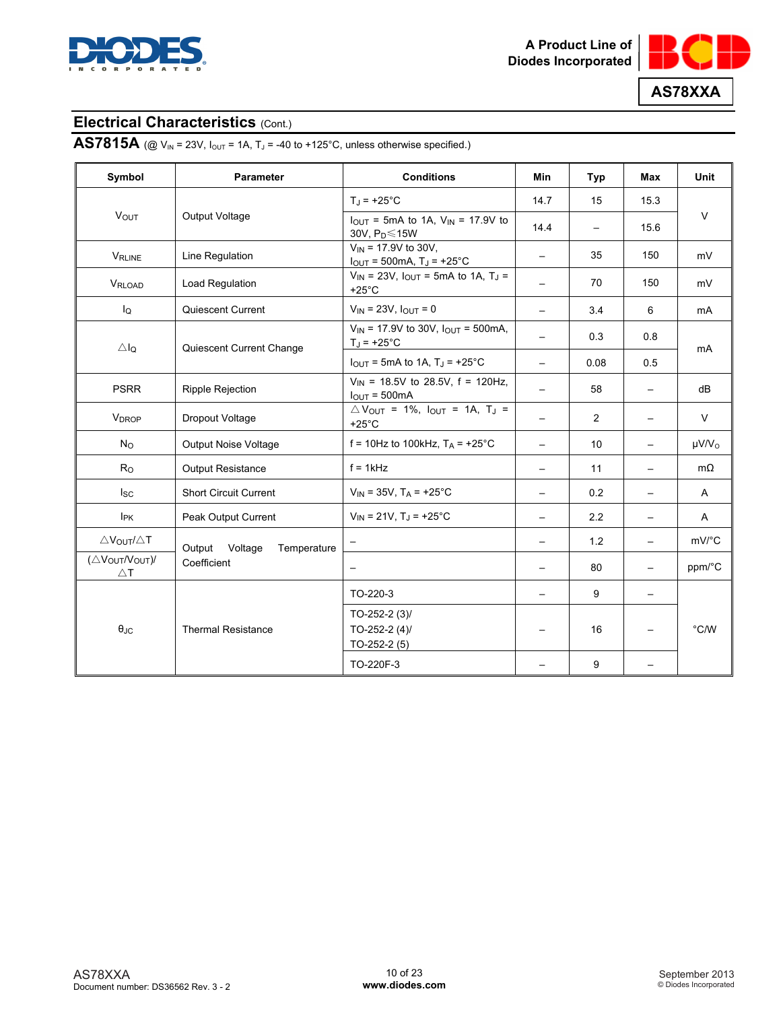



# **AS7815A** (@  $V_{IN}$  = 23V,  $I_{OUT}$  = 1A,  $T_J$  = -40 to +125°C, unless otherwise specified.)

| Symbol                          | <b>Parameter</b>              | <b>Conditions</b>                                                                               | Min                      | Typ                      | <b>Max</b>               | Unit                   |
|---------------------------------|-------------------------------|-------------------------------------------------------------------------------------------------|--------------------------|--------------------------|--------------------------|------------------------|
|                                 |                               | $T_{\rm J}$ = +25°C                                                                             | 14.7                     | 15                       | 15.3                     |                        |
| <b>VOUT</b>                     | Output Voltage                | $I_{OUT}$ = 5mA to 1A, $V_{IN}$ = 17.9V to<br>30V, $P_D \le 15W$                                | 14.4                     | $\overline{\phantom{0}}$ | 15.6                     | $\vee$                 |
| <b>VRLINE</b>                   | Line Regulation               | $V_{IN}$ = 17.9V to 30V,<br>$I_{OUT} = 500mA$ , T <sub>J</sub> = +25°C                          |                          | 35                       | 150                      | mV                     |
| VRLOAD                          | Load Regulation               | $V_{IN}$ = 23V, $I_{OUT}$ = 5mA to 1A, T <sub>J</sub> =<br>$+25^{\circ}$ C                      | $\qquad \qquad -$        | 70                       | 150                      | mV                     |
| lo                              | Quiescent Current             | $V_{IN}$ = 23V, $I_{OUT}$ = 0                                                                   | $\overline{\phantom{0}}$ | 3.4                      | 6                        | mA                     |
| $\triangle$ lo                  | Quiescent Current Change      | $V_{IN}$ = 17.9V to 30V, $I_{OUT}$ = 500mA,<br>$T_{\rm J}$ = +25°C                              |                          | 0.3                      | 0.8                      | mA                     |
|                                 |                               | $I_{\text{OUT}}$ = 5mA to 1A, T <sub>J</sub> = +25 <sup>°</sup> C                               |                          | 0.08                     | 0.5                      |                        |
| <b>PSRR</b>                     | <b>Ripple Rejection</b>       | $V_{IN}$ = 18.5V to 28.5V, f = 120Hz,<br>$IOUT = 500mA$                                         |                          | 58                       | $\overline{\phantom{0}}$ | dB                     |
| <b>V</b> <sub>DROP</sub>        | Dropout Voltage               | $\triangle V_{\text{OUT}} = 1\%$ , $I_{\text{OUT}} = 1\%$ , $T_{\text{J}} =$<br>$+25^{\circ}$ C |                          | 2                        |                          | $\vee$                 |
| $N_{\rm O}$                     | <b>Output Noise Voltage</b>   | f = 10Hz to 100kHz, $T_A$ = +25°C                                                               | $\equiv$                 | 10                       | $\overline{\phantom{0}}$ | $\mu$ V/V <sub>o</sub> |
| R <sub>O</sub>                  | <b>Output Resistance</b>      | $f = 1$ kHz                                                                                     | $\overline{\phantom{0}}$ | 11                       | $\overline{\phantom{0}}$ | $m\Omega$              |
| $I_{SC}$                        | <b>Short Circuit Current</b>  | $V_{IN}$ = 35V, T <sub>A</sub> = +25°C                                                          | $\qquad \qquad -$        | 0.2                      | $\overline{\phantom{0}}$ | A                      |
| <b>I</b> <sub>PK</sub>          | Peak Output Current           | $V_{IN}$ = 21V, T <sub>J</sub> = +25°C                                                          |                          | 2.2                      | $\overline{\phantom{0}}$ | A                      |
| $\triangle V_{OUT}/\triangle T$ | Output Voltage<br>Temperature |                                                                                                 | $\overline{\phantom{0}}$ | 1.2                      | $\overline{\phantom{0}}$ | mV/°C                  |
| (ΔVOUTNOUT)<br>$\triangle$ T    | Coefficient                   |                                                                                                 |                          | 80                       | $\overline{\phantom{0}}$ | ppm/°C                 |
|                                 |                               | TO-220-3                                                                                        | $\overline{\phantom{0}}$ | 9                        | $\overline{\phantom{0}}$ |                        |
| $\theta_{\text{JC}}$            | <b>Thermal Resistance</b>     | TO-252-2 $(3)$<br>TO-252-2 $(4)$<br>$TO-252-2(5)$                                               |                          | 16                       |                          | $\degree$ C/W          |
|                                 |                               | TO-220F-3                                                                                       |                          | 9                        |                          |                        |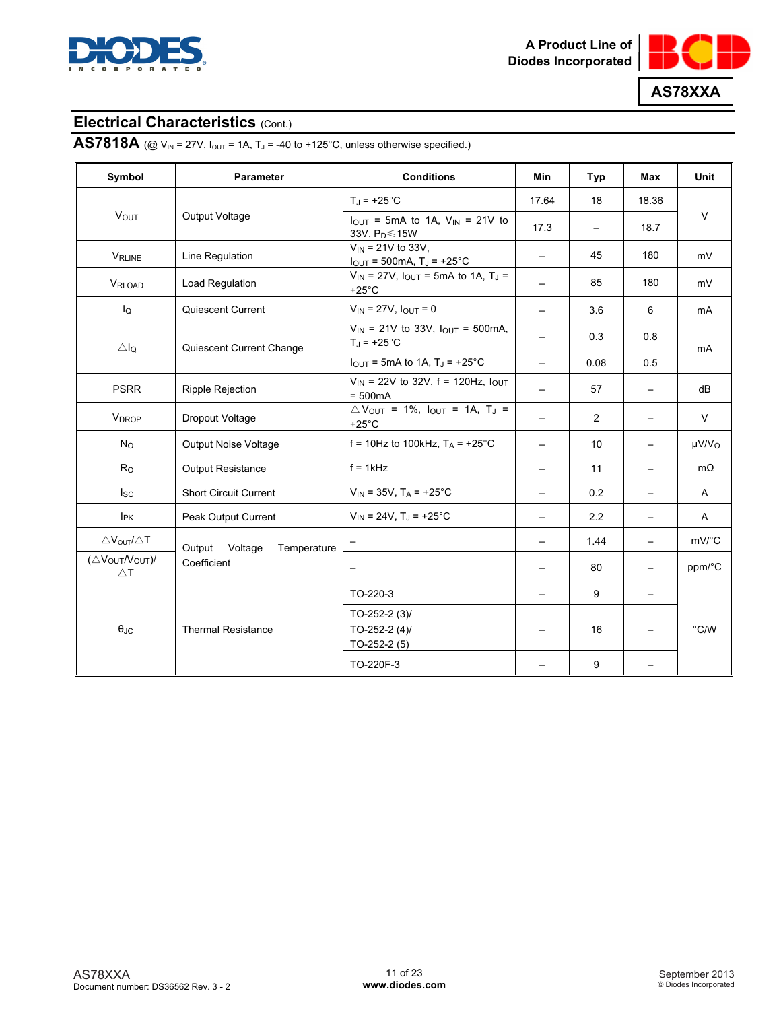



# **AS7818A** (@  $V_{IN}$  = 27V,  $I_{OUT}$  = 1A,  $T_J$  = -40 to +125°C, unless otherwise specified.)

| Symbol                          | <b>Parameter</b>              | <b>Conditions</b>                                                                           | Min                      | Typ                      | <b>Max</b>               | Unit                   |
|---------------------------------|-------------------------------|---------------------------------------------------------------------------------------------|--------------------------|--------------------------|--------------------------|------------------------|
|                                 |                               | $T_J = +25$ °C                                                                              | 17.64                    | 18                       | 18.36                    |                        |
| <b>VOUT</b>                     | Output Voltage                | $I_{OUT}$ = 5mA to 1A, $V_{IN}$ = 21V to<br>33V, P <sub>D</sub> ≤15W                        | 17.3                     | $\overline{\phantom{0}}$ | 18.7                     | $\vee$                 |
| <b>VRLINE</b>                   | Line Regulation               | $V_{IN}$ = 21V to 33V,<br>$I_{OUT} = 500mA, T_J = +25°C$                                    |                          | 45                       | 180                      | mV                     |
| VRLOAD                          | Load Regulation               | $V_{IN}$ = 27V, $I_{OUT}$ = 5mA to 1A, T <sub>J</sub> =<br>$+25^{\circ}$ C                  | $\qquad \qquad -$        | 85                       | 180                      | mV                     |
| lQ                              | Quiescent Current             | $V_{IN} = 27V$ , $I_{OUT} = 0$                                                              | $\overline{\phantom{0}}$ | 3.6                      | 6                        | mA                     |
| $\triangle I_Q$                 | Quiescent Current Change      | $V_{IN}$ = 21V to 33V, $I_{OUT}$ = 500mA,<br>$T_J = +25^{\circ}C$                           |                          | 0.3                      | 0.8                      | mA                     |
|                                 |                               | $I_{\text{OUT}}$ = 5mA to 1A, T <sub>J</sub> = +25°C                                        |                          | 0.08                     | 0.5                      |                        |
| <b>PSRR</b>                     | <b>Ripple Rejection</b>       | $V_{IN}$ = 22V to 32V, f = 120Hz, $I_{OUT}$<br>$= 500mA$                                    |                          | 57                       | $\overline{\phantom{0}}$ | dB                     |
| <b>V</b> <sub>DROP</sub>        | Dropout Voltage               | $\triangle V_{\text{OUT}}$ = 1%, $I_{\text{OUT}}$ = 1A, T <sub>J</sub> =<br>$+25^{\circ}$ C |                          | 2                        |                          | $\vee$                 |
| $N_{\rm O}$                     | <b>Output Noise Voltage</b>   | f = 10Hz to 100kHz, $T_A$ = +25°C                                                           |                          | 10                       | $\overline{\phantom{0}}$ | $\mu$ V/V <sub>O</sub> |
| R <sub>O</sub>                  | <b>Output Resistance</b>      | $f = 1$ kHz                                                                                 | $\overline{\phantom{0}}$ | 11                       | $\overline{\phantom{0}}$ | $m\Omega$              |
| $I_{SC}$                        | <b>Short Circuit Current</b>  | $V_{IN}$ = 35V, T <sub>A</sub> = +25°C                                                      |                          | 0.2                      | $\overline{\phantom{0}}$ | A                      |
| I <sub>PK</sub>                 | Peak Output Current           | $V_{IN}$ = 24V, T <sub>J</sub> = +25°C                                                      |                          | 2.2                      |                          | A                      |
| $\triangle V_{OUT}/\triangle T$ | Output Voltage<br>Temperature |                                                                                             |                          | 1.44                     | $\overline{\phantom{0}}$ | mV/°C                  |
| (ΔVOUTNOUT)<br>$\triangle$ T    | Coefficient                   | $\overline{\phantom{m}}$                                                                    |                          | 80                       | $\overline{\phantom{0}}$ | ppm/°C                 |
|                                 |                               | TO-220-3                                                                                    |                          | 9                        | $\overline{\phantom{0}}$ |                        |
| $\theta_{\text{JC}}$            | <b>Thermal Resistance</b>     | TO-252-2 $(3)$<br>TO-252-2 $(4)$<br>$TO-252-2(5)$                                           |                          | 16                       |                          | $^{\circ}$ C/W         |
|                                 |                               | TO-220F-3                                                                                   |                          | 9                        |                          |                        |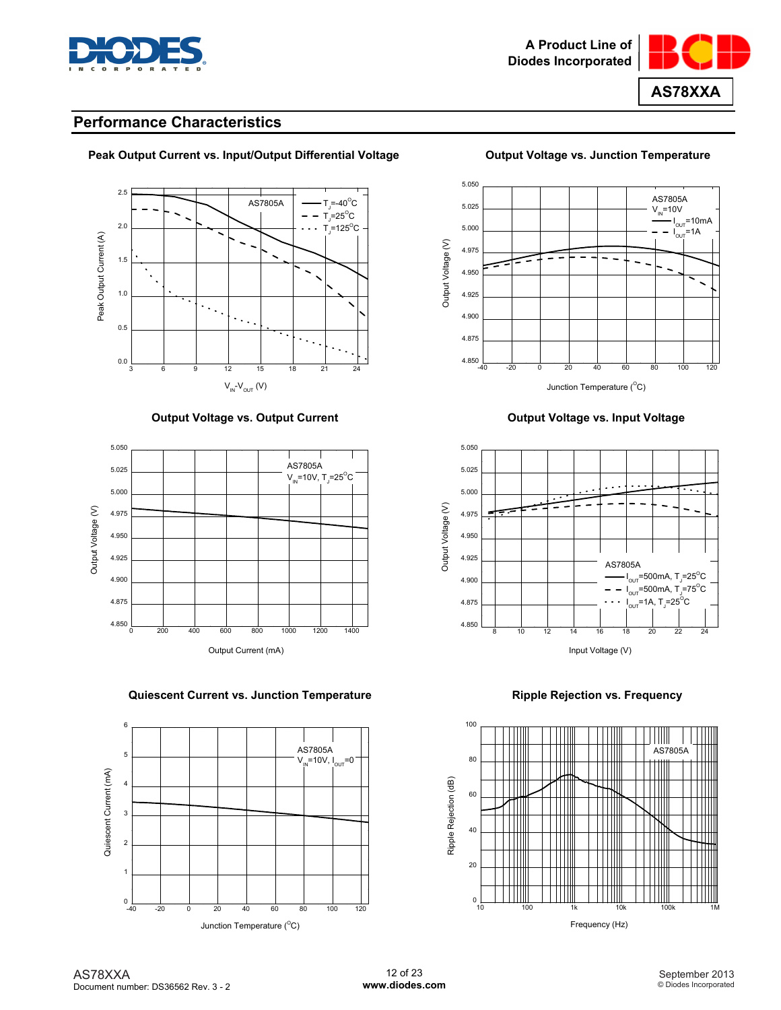



## **Performance Characteristics**



### Peak Output Current vs. Input/Output Differential Voltage **Case Coutput Voltage vs. Junction Temperature**

 **Output Voltage vs. Output Current Current Current Current Current Current Current Current Current Current Current Current Current Current Current Current Current Current Current Current Current Current Current Current Cu** 



#### **Quiescent Current vs. Junction Temperature Mateur Accord Ripple Rejection vs. Frequency**







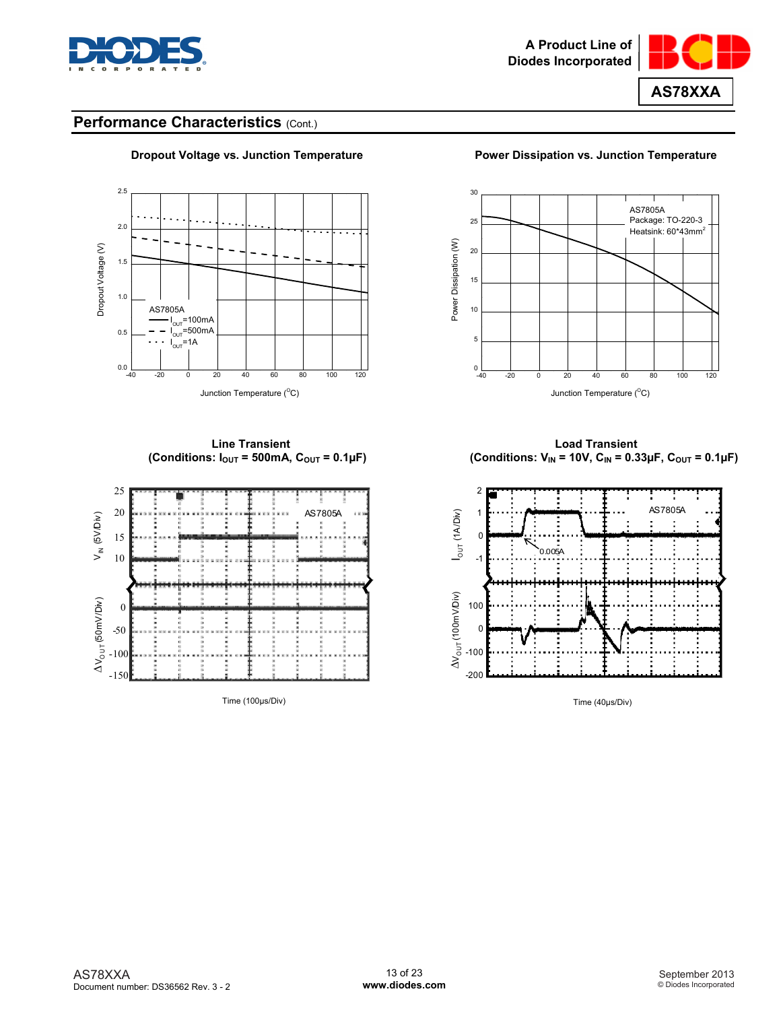



## Performance Characteristics (Cont.)



### **Dropout Voltage vs. Junction Temperature Power Dissipation vs. Junction Temperature**

Junction Temperature (°C)



Time (100µs/Div) Time (40µs/Div)



**Line Transient Load Transient**  (Conditions: I<sub>OUT</sub> = 500mA, C<sub>OUT</sub> = 0.1µF)  $($  Conditions: V<sub>IN</sub> = 10V, C<sub>IN</sub> = 0.33µF, C<sub>OUT</sub> = 0.1µF)

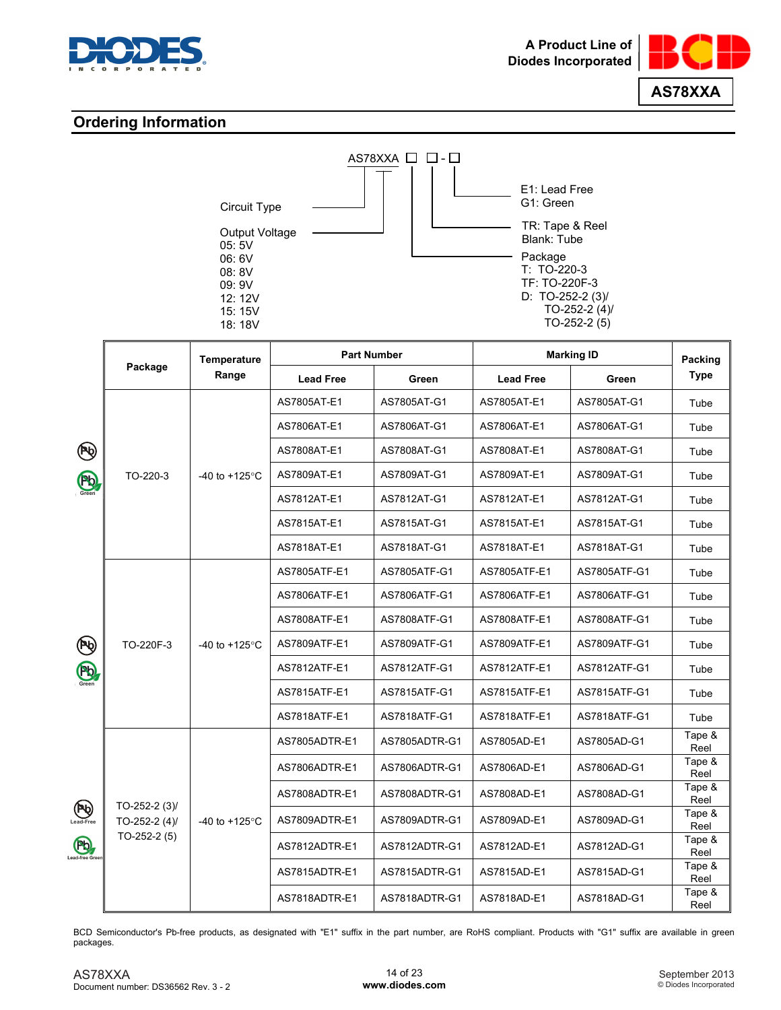



## **Ordering Information**

| Circuit Type                                                 | $AS78XXA$ $\Box$<br>□ - □ | E1: Lead Free<br>G1: Green                                                                                         |
|--------------------------------------------------------------|---------------------------|--------------------------------------------------------------------------------------------------------------------|
| Output Voltage<br>05:5V<br>06:6V<br>08:8V<br>09:9V<br>12:12V |                           | TR: Tape & Reel<br>Blank: Tube<br>Package<br>$T: TO-220-3$<br>TF: TO-220F-3<br>D: TO-252-2 $(3)$<br>TO-252-2 $(4)$ |
| 15:15V<br>18: 18V                                            |                           | $TO-252-2(5)$                                                                                                      |

|                                    |                                  | Temperature              | <b>Part Number</b> |               |                  | <b>Marking ID</b> | Packing                |
|------------------------------------|----------------------------------|--------------------------|--------------------|---------------|------------------|-------------------|------------------------|
|                                    | Package                          | Range                    | <b>Lead Free</b>   | Green         | <b>Lead Free</b> | Green             | <b>Type</b>            |
|                                    |                                  |                          | AS7805AT-E1        | AS7805AT-G1   | AS7805AT-E1      | AS7805AT-G1       | Tube                   |
|                                    |                                  |                          | AS7806AT-E1        | AS7806AT-G1   | AS7806AT-E1      | AS7806AT-G1       | Tube                   |
| ิั                                 |                                  |                          | AS7808AT-E1        | AS7808AT-G1   | AS7808AT-E1      | AS7808AT-G1       | Tube                   |
| Pb <sub>oreen</sub>                | TO-220-3                         | -40 to +125 $^{\circ}$ C | AS7809AT-E1        | AS7809AT-G1   | AS7809AT-E1      | AS7809AT-G1       | Tube                   |
|                                    |                                  |                          | AS7812AT-E1        | AS7812AT-G1   | AS7812AT-E1      | AS7812AT-G1       | Tube                   |
|                                    |                                  |                          | AS7815AT-E1        | AS7815AT-G1   | AS7815AT-E1      | AS7815AT-G1       | Tube                   |
|                                    |                                  |                          | AS7818AT-E1        | AS7818AT-G1   | AS7818AT-E1      | AS7818AT-G1       | Tube                   |
|                                    |                                  |                          | AS7805ATF-E1       | AS7805ATF-G1  | AS7805ATF-E1     | AS7805ATF-G1      | Tube                   |
|                                    |                                  |                          | AS7806ATF-E1       | AS7806ATF-G1  | AS7806ATF-E1     | AS7806ATF-G1      | Tube                   |
|                                    | TO-220F-3                        | -40 to $+125^{\circ}$ C  | AS7808ATF-E1       | AS7808ATF-G1  | AS7808ATF-E1     | AS7808ATF-G1      | Tube                   |
| $\bigcirc$                         |                                  |                          | AS7809ATF-E1       | AS7809ATF-G1  | AS7809ATF-E1     | AS7809ATF-G1      | Tube                   |
| Pb <sub>Green</sub>                |                                  |                          | AS7812ATF-E1       | AS7812ATF-G1  | AS7812ATF-E1     | AS7812ATF-G1      | Tube                   |
|                                    |                                  |                          | AS7815ATF-E1       | AS7815ATF-G1  | AS7815ATF-E1     | AS7815ATF-G1      | Tube                   |
|                                    |                                  |                          | AS7818ATF-E1       | AS7818ATF-G1  | AS7818ATF-E1     | AS7818ATF-G1      | Tube                   |
|                                    |                                  |                          | AS7805ADTR-E1      | AS7805ADTR-G1 | AS7805AD-E1      | AS7805AD-G1       | Tape &<br>Reel         |
|                                    |                                  |                          | AS7806ADTR-E1      | AS7806ADTR-G1 | AS7806AD-E1      | AS7806AD-G1       | Tape &<br>Reel         |
|                                    |                                  |                          | AS7808ADTR-E1      | AS7808ADTR-G1 | AS7808AD-E1      | AS7808AD-G1       | Tape &<br>Reel         |
| $(\mathbf{P}_{\mathbf{Q}})$<br>Pb. | TO-252-2 $(3)$<br>TO-252-2 $(4)$ | -40 to +125 $\degree$ C  | AS7809ADTR-E1      | AS7809ADTR-G1 | AS7809AD-E1      | AS7809AD-G1       | Tape &                 |
|                                    | $TO-252-2(5)$                    |                          | AS7812ADTR-E1      | AS7812ADTR-G1 | AS7812AD-E1      | AS7812AD-G1       | Reel<br>Tape &         |
| Lead-free Gree                     |                                  |                          | AS7815ADTR-E1      | AS7815ADTR-G1 | AS7815AD-E1      | AS7815AD-G1       | Reel<br>Tape &         |
|                                    |                                  |                          | AS7818ADTR-E1      | AS7818ADTR-G1 | AS7818AD-E1      | AS7818AD-G1       | Reel<br>Tape &<br>Reel |

BCD Semiconductor's Pb-free products, as designated with "E1" suffix in the part number, are RoHS compliant. Products with "G1" suffix are available in green packages.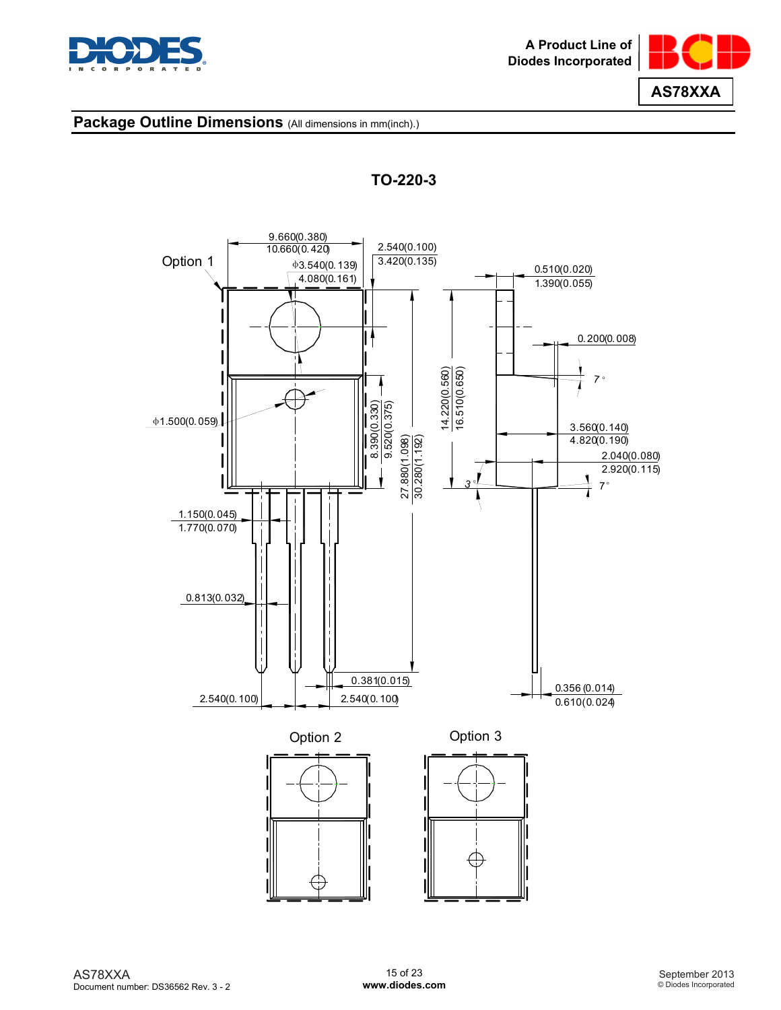





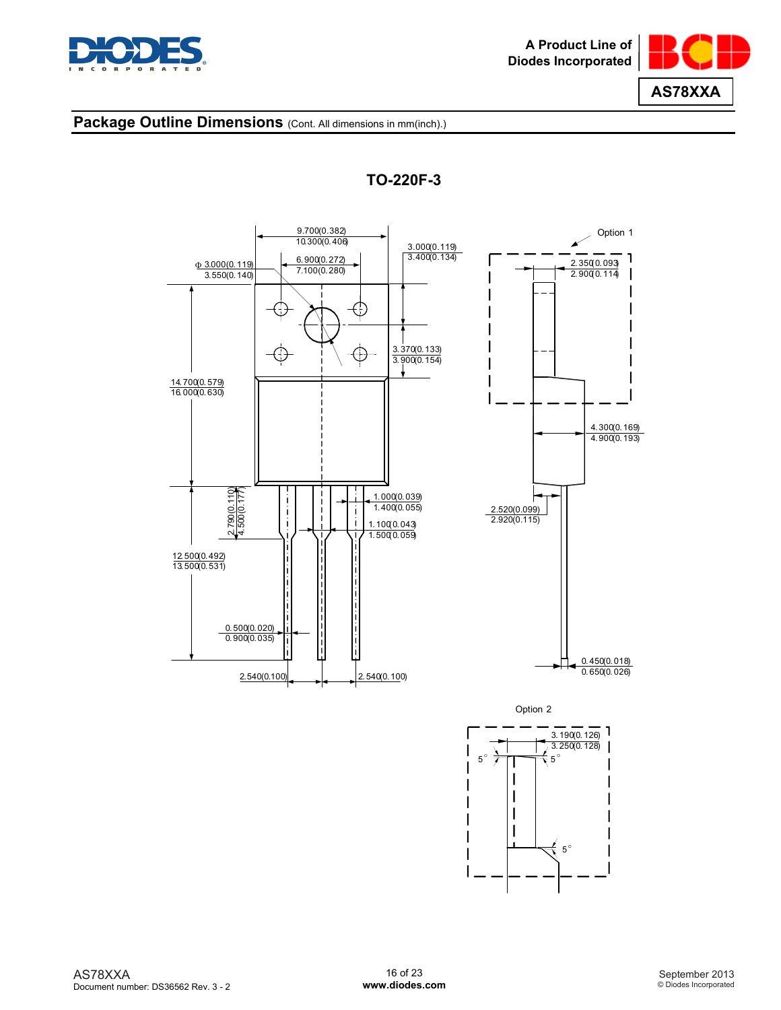



**TO-220F-3** 

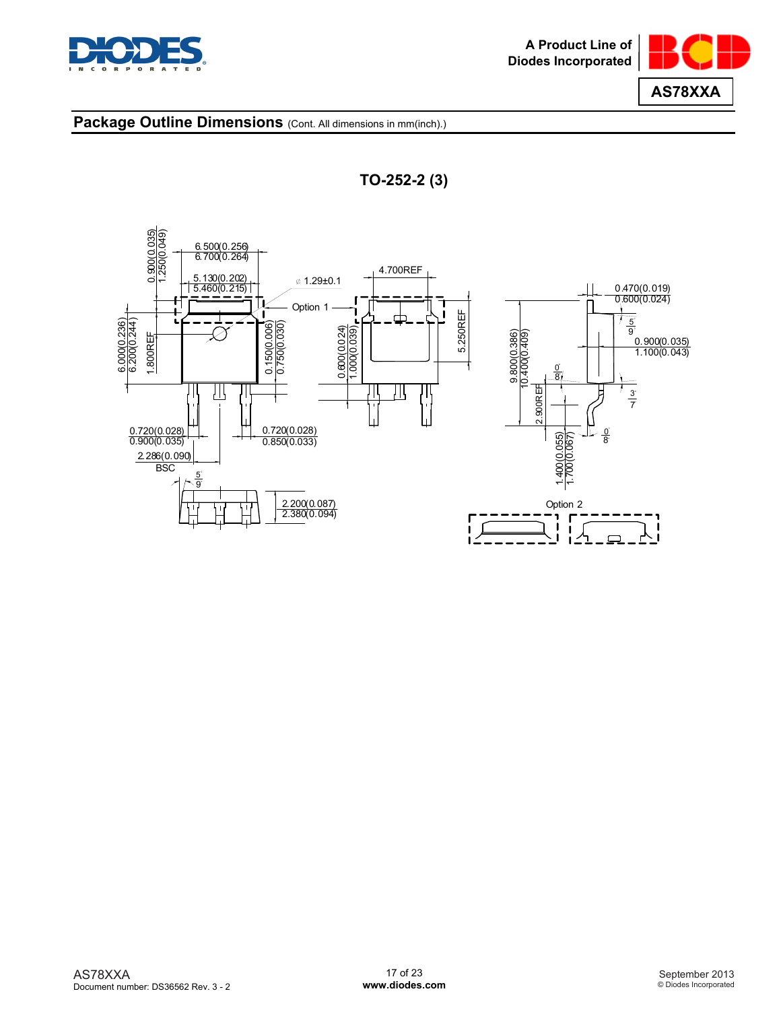





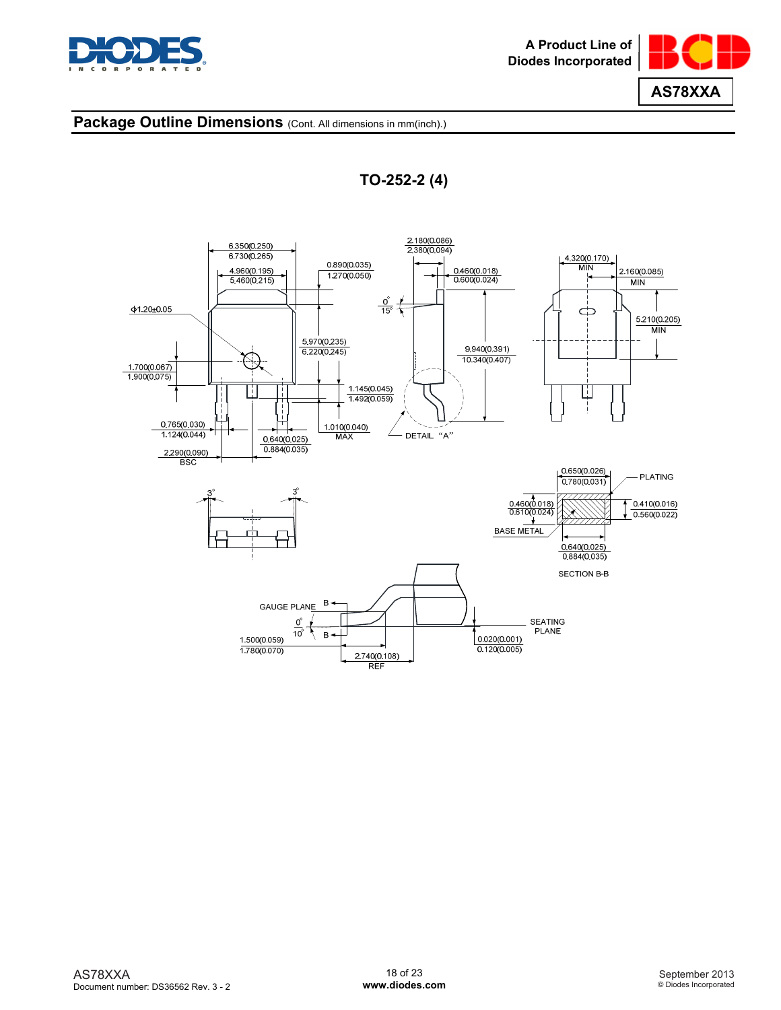





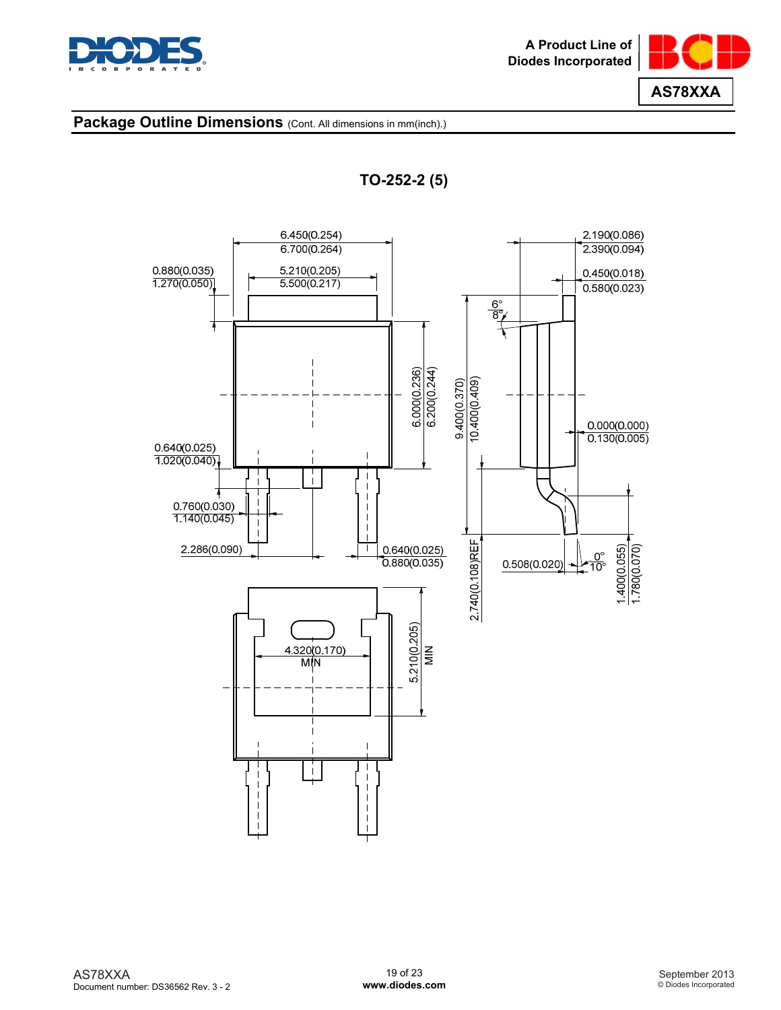





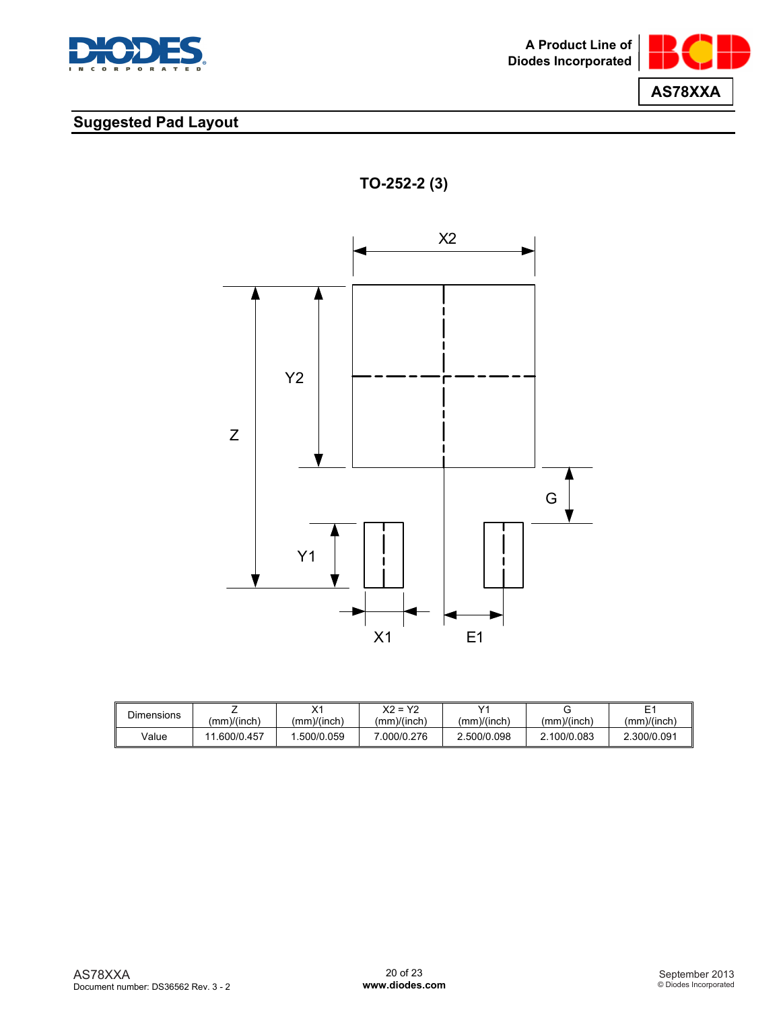



## **Suggested Pad Layout**





| <b>Dimensions</b> |                       | v,<br>⌒     | X2 = Y2     | $\sqrt{4}$  |             |             |
|-------------------|-----------------------|-------------|-------------|-------------|-------------|-------------|
|                   | $\mu$ mm $\mu$ (inch) | (mm)/(inch) | (mm)/(inch) | (mm)/(inch) | (mm)/(inch) | (mm)/(inch) |
| √alue             | .600/0.457            | .500/0.059  | .000/0.276  | 2.500/0.098 | 2.100/0.083 | 2.300/0.091 |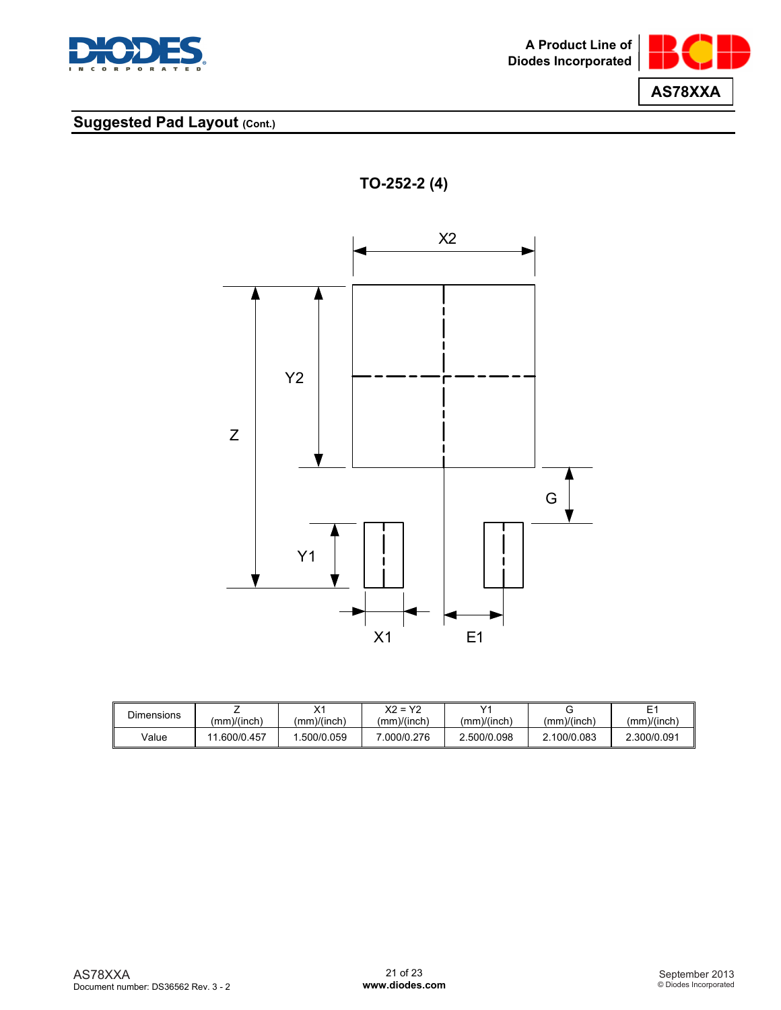



## **Suggested Pad Layout (Cont.)**





| <b>Dimensions</b> | (mm)/(inch) | $\vee$<br>⌒<br>(mm)/(inch) | $Y2 = Y2$<br>(mm)/(inch) | v.<br>(mm)/(inch) | (mm)/(inch) | _<br>(mm)/(inch) |
|-------------------|-------------|----------------------------|--------------------------|-------------------|-------------|------------------|
| Value             | 600/0.457   | .500/0.059                 | .000/0.276               | 2.500/0.098       | 100/0.083   | 2.300/0.091      |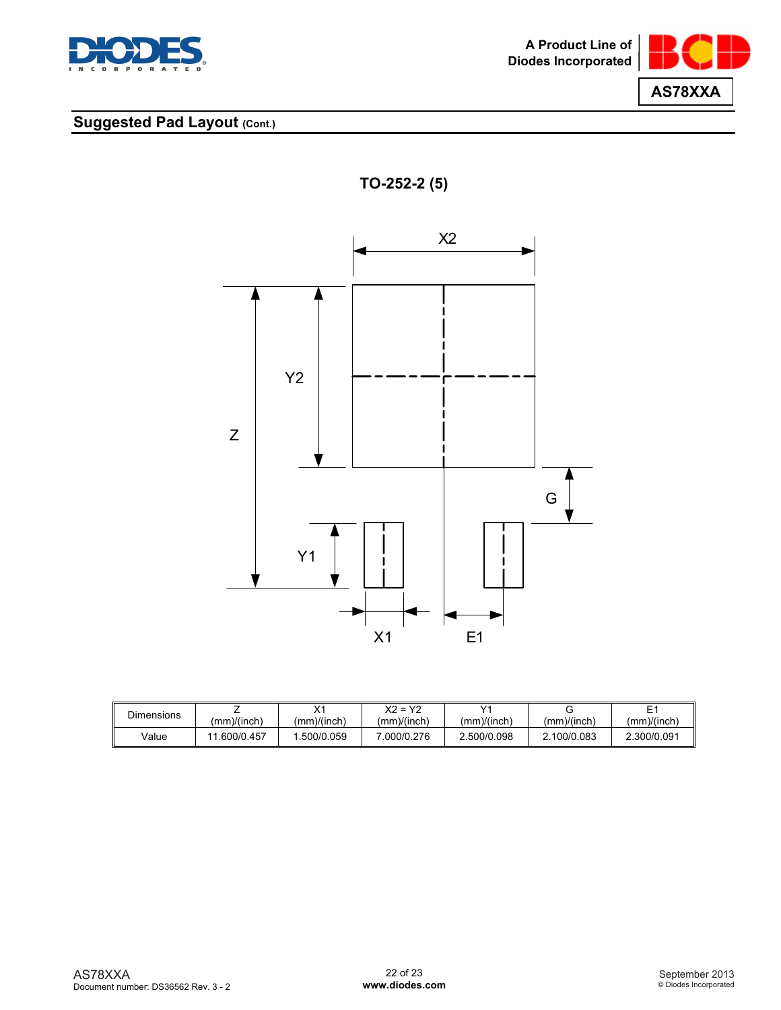



## **Suggested Pad Layout (Cont.)**





| <b>Dimensions</b> |             | v,<br>$\sim$ | $X2 = Y2$   | v.          |             | -           |
|-------------------|-------------|--------------|-------------|-------------|-------------|-------------|
|                   | (mm)/(inch) | (mm)/(inch)  | (mm)/(inch) | (mm)/(inch) | (mm)/(inch) | (mm)/(inch) |
| Value             | . 600/0.457 | .500/0.059   | 000/0.276   | 2.500/0.098 | 2.100/0.083 | 2.300/0.091 |